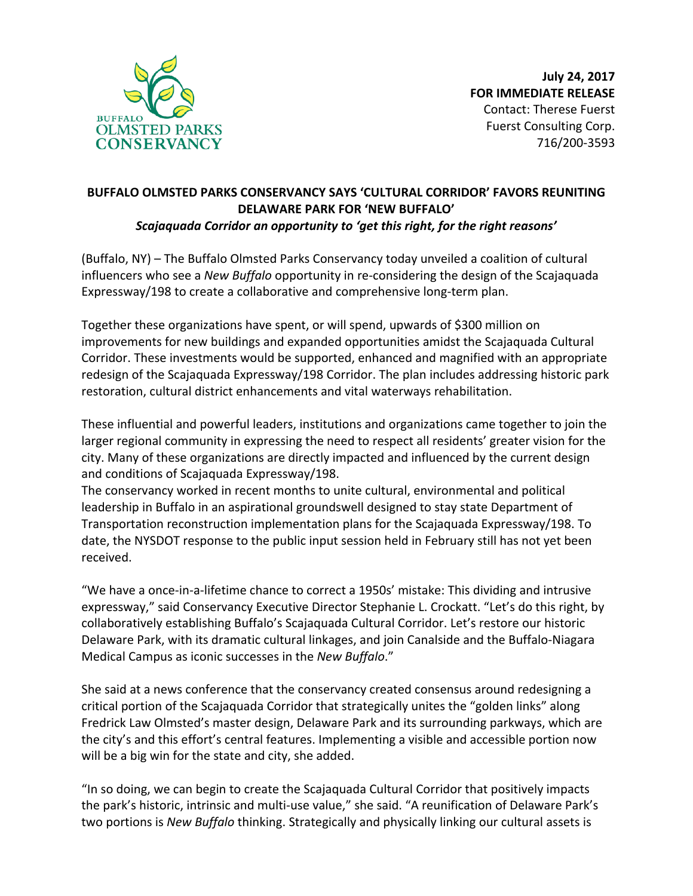

## **BUFFALO OLMSTED PARKS CONSERVANCY SAYS 'CULTURAL CORRIDOR' FAVORS REUNITING DELAWARE PARK FOR 'NEW BUFFALO'** Scajaquada Corridor an opportunity to 'get this right, for the right reasons'

(Buffalo, NY) – The Buffalo Olmsted Parks Conservancy today unveiled a coalition of cultural influencers who see a *New Buffalo* opportunity in re-considering the design of the Scajaquada Expressway/198 to create a collaborative and comprehensive long-term plan.

Together these organizations have spent, or will spend, upwards of \$300 million on improvements for new buildings and expanded opportunities amidst the Scajaquada Cultural Corridor. These investments would be supported, enhanced and magnified with an appropriate redesign of the Scajaquada Expressway/198 Corridor. The plan includes addressing historic park restoration, cultural district enhancements and vital waterways rehabilitation.

These influential and powerful leaders, institutions and organizations came together to join the larger regional community in expressing the need to respect all residents' greater vision for the city. Many of these organizations are directly impacted and influenced by the current design and conditions of Scajaquada Expressway/198.

The conservancy worked in recent months to unite cultural, environmental and political leadership in Buffalo in an aspirational groundswell designed to stay state Department of Transportation reconstruction implementation plans for the Scajaquada Expressway/198. To date, the NYSDOT response to the public input session held in February still has not yet been received.

"We have a once-in-a-lifetime chance to correct a 1950s' mistake: This dividing and intrusive expressway," said Conservancy Executive Director Stephanie L. Crockatt. "Let's do this right, by collaboratively establishing Buffalo's Scajaquada Cultural Corridor. Let's restore our historic Delaware Park, with its dramatic cultural linkages, and join Canalside and the Buffalo-Niagara Medical Campus as iconic successes in the *New Buffalo*."

She said at a news conference that the conservancy created consensus around redesigning a critical portion of the Scajaquada Corridor that strategically unites the "golden links" along Fredrick Law Olmsted's master design, Delaware Park and its surrounding parkways, which are the city's and this effort's central features. Implementing a visible and accessible portion now will be a big win for the state and city, she added.

"In so doing, we can begin to create the Scajaquada Cultural Corridor that positively impacts the park's historic, intrinsic and multi-use value," she said. "A reunification of Delaware Park's two portions is *New Buffalo* thinking. Strategically and physically linking our cultural assets is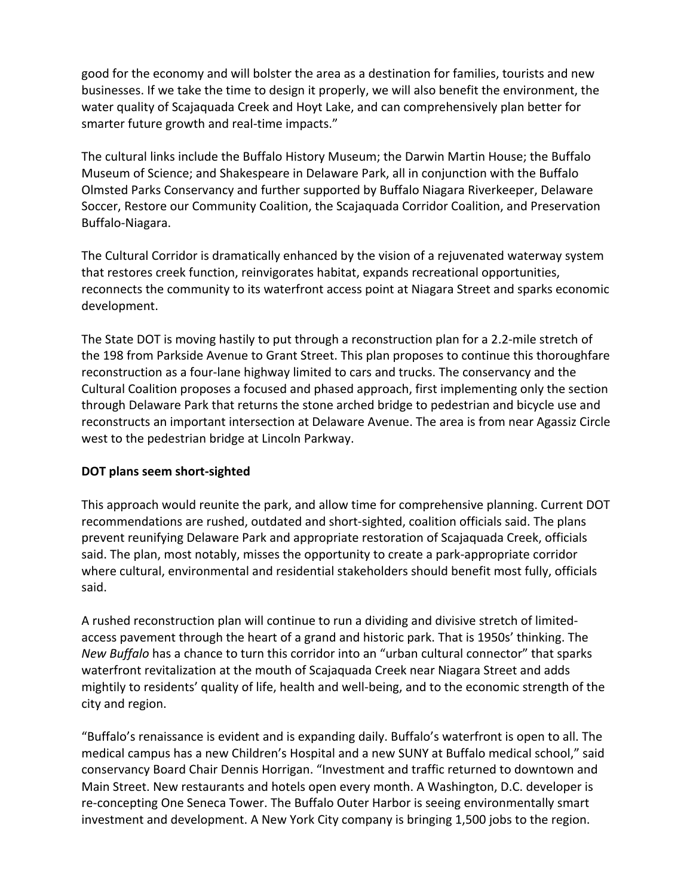good for the economy and will bolster the area as a destination for families, tourists and new businesses. If we take the time to design it properly, we will also benefit the environment, the water quality of Scajaquada Creek and Hoyt Lake, and can comprehensively plan better for smarter future growth and real-time impacts."

The cultural links include the Buffalo History Museum; the Darwin Martin House; the Buffalo Museum of Science; and Shakespeare in Delaware Park, all in conjunction with the Buffalo Olmsted Parks Conservancy and further supported by Buffalo Niagara Riverkeeper, Delaware Soccer, Restore our Community Coalition, the Scajaquada Corridor Coalition, and Preservation Buffalo-Niagara.

The Cultural Corridor is dramatically enhanced by the vision of a rejuvenated waterway system that restores creek function, reinvigorates habitat, expands recreational opportunities, reconnects the community to its waterfront access point at Niagara Street and sparks economic development. 

The State DOT is moving hastily to put through a reconstruction plan for a 2.2-mile stretch of the 198 from Parkside Avenue to Grant Street. This plan proposes to continue this thoroughfare reconstruction as a four-lane highway limited to cars and trucks. The conservancy and the Cultural Coalition proposes a focused and phased approach, first implementing only the section through Delaware Park that returns the stone arched bridge to pedestrian and bicycle use and reconstructs an important intersection at Delaware Avenue. The area is from near Agassiz Circle west to the pedestrian bridge at Lincoln Parkway.

## **DOT plans seem short-sighted**

This approach would reunite the park, and allow time for comprehensive planning. Current DOT recommendations are rushed, outdated and short-sighted, coalition officials said. The plans prevent reunifying Delaware Park and appropriate restoration of Scajaquada Creek, officials said. The plan, most notably, misses the opportunity to create a park-appropriate corridor where cultural, environmental and residential stakeholders should benefit most fully, officials said. 

A rushed reconstruction plan will continue to run a dividing and divisive stretch of limitedaccess pavement through the heart of a grand and historic park. That is 1950s' thinking. The *New Buffalo* has a chance to turn this corridor into an "urban cultural connector" that sparks waterfront revitalization at the mouth of Scajaquada Creek near Niagara Street and adds mightily to residents' quality of life, health and well-being, and to the economic strength of the city and region.

"Buffalo's renaissance is evident and is expanding daily. Buffalo's waterfront is open to all. The medical campus has a new Children's Hospital and a new SUNY at Buffalo medical school," said conservancy Board Chair Dennis Horrigan. "Investment and traffic returned to downtown and Main Street. New restaurants and hotels open every month. A Washington, D.C. developer is re-concepting One Seneca Tower. The Buffalo Outer Harbor is seeing environmentally smart investment and development. A New York City company is bringing 1,500 jobs to the region.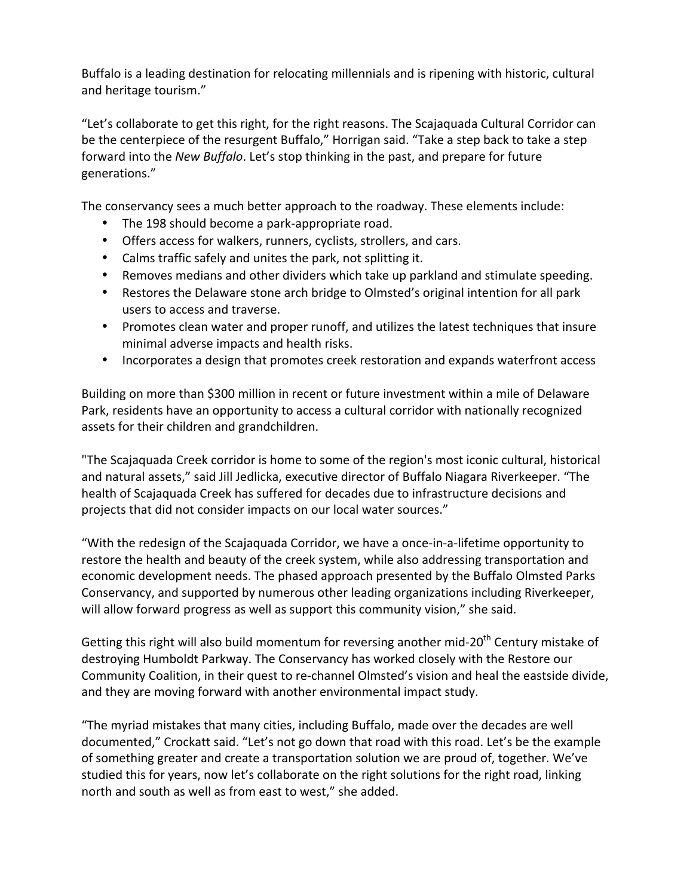Buffalo is a leading destination for relocating millennials and is ripening with historic, cultural and heritage tourism."

"Let's collaborate to get this right, for the right reasons. The Scajaquada Cultural Corridor can be the centerpiece of the resurgent Buffalo," Horrigan said. "Take a step back to take a step forward into the *New Buffalo*. Let's stop thinking in the past, and prepare for future generations."

The conservancy sees a much better approach to the roadway. These elements include:

- The 198 should become a park-appropriate road.
- Offers access for walkers, runners, cyclists, strollers, and cars.
- Calms traffic safely and unites the park, not splitting it.
- Removes medians and other dividers which take up parkland and stimulate speeding.
- Restores the Delaware stone arch bridge to Olmsted's original intention for all park users to access and traverse.
- Promotes clean water and proper runoff, and utilizes the latest techniques that insure minimal adverse impacts and health risks.
- Incorporates a design that promotes creek restoration and expands waterfront access

Building on more than \$300 million in recent or future investment within a mile of Delaware Park, residents have an opportunity to access a cultural corridor with nationally recognized assets for their children and grandchildren.

"The Scajaquada Creek corridor is home to some of the region's most iconic cultural, historical and natural assets," said Jill Jedlicka, executive director of Buffalo Niagara Riverkeeper. "The health of Scajaquada Creek has suffered for decades due to infrastructure decisions and projects that did not consider impacts on our local water sources."

"With the redesign of the Scajaquada Corridor, we have a once-in-a-lifetime opportunity to restore the health and beauty of the creek system, while also addressing transportation and economic development needs. The phased approach presented by the Buffalo Olmsted Parks Conservancy, and supported by numerous other leading organizations including Riverkeeper, will allow forward progress as well as support this community vision," she said.

Getting this right will also build momentum for reversing another mid-20<sup>th</sup> Century mistake of destroying Humboldt Parkway. The Conservancy has worked closely with the Restore our Community Coalition, in their quest to re-channel Olmsted's vision and heal the eastside divide, and they are moving forward with another environmental impact study.

"The myriad mistakes that many cities, including Buffalo, made over the decades are well documented," Crockatt said. "Let's not go down that road with this road. Let's be the example of something greater and create a transportation solution we are proud of, together. We've studied this for years, now let's collaborate on the right solutions for the right road, linking north and south as well as from east to west," she added.